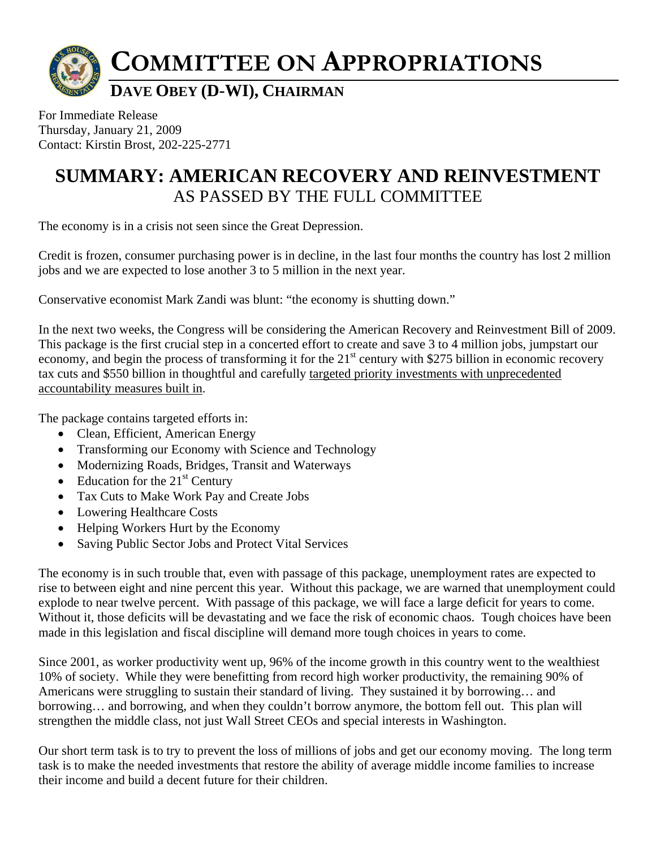

For Immediate Release Thursday, January 21, 2009 Contact: Kirstin Brost, 202-225-2771

# **SUMMARY: AMERICAN RECOVERY AND REINVESTMENT**  AS PASSED BY THE FULL COMMITTEE

The economy is in a crisis not seen since the Great Depression.

Credit is frozen, consumer purchasing power is in decline, in the last four months the country has lost 2 million jobs and we are expected to lose another 3 to 5 million in the next year.

Conservative economist Mark Zandi was blunt: "the economy is shutting down."

In the next two weeks, the Congress will be considering the American Recovery and Reinvestment Bill of 2009. This package is the first crucial step in a concerted effort to create and save 3 to 4 million jobs, jumpstart our economy, and begin the process of transforming it for the 21<sup>st</sup> century with \$275 billion in economic recovery tax cuts and \$550 billion in thoughtful and carefully targeted priority investments with unprecedented accountability measures built in.

The package contains targeted efforts in:

- Clean, Efficient, American Energy
- Transforming our Economy with Science and Technology
- Modernizing Roads, Bridges, Transit and Waterways
- Education for the  $21<sup>st</sup>$  Century
- Tax Cuts to Make Work Pay and Create Jobs
- Lowering Healthcare Costs
- Helping Workers Hurt by the Economy
- Saving Public Sector Jobs and Protect Vital Services

The economy is in such trouble that, even with passage of this package, unemployment rates are expected to rise to between eight and nine percent this year. Without this package, we are warned that unemployment could explode to near twelve percent. With passage of this package, we will face a large deficit for years to come. Without it, those deficits will be devastating and we face the risk of economic chaos. Tough choices have been made in this legislation and fiscal discipline will demand more tough choices in years to come.

Since 2001, as worker productivity went up, 96% of the income growth in this country went to the wealthiest 10% of society. While they were benefitting from record high worker productivity, the remaining 90% of Americans were struggling to sustain their standard of living. They sustained it by borrowing… and borrowing… and borrowing, and when they couldn't borrow anymore, the bottom fell out. This plan will strengthen the middle class, not just Wall Street CEOs and special interests in Washington.

Our short term task is to try to prevent the loss of millions of jobs and get our economy moving. The long term task is to make the needed investments that restore the ability of average middle income families to increase their income and build a decent future for their children.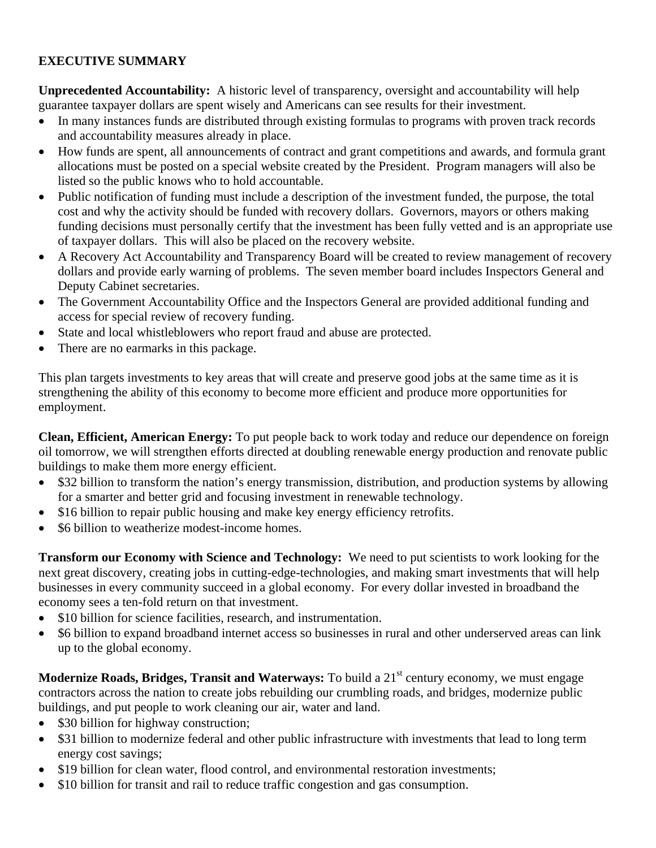#### **EXECUTIVE SUMMARY**

**Unprecedented Accountability:** A historic level of transparency, oversight and accountability will help guarantee taxpayer dollars are spent wisely and Americans can see results for their investment.

- In many instances funds are distributed through existing formulas to programs with proven track records and accountability measures already in place.
- How funds are spent, all announcements of contract and grant competitions and awards, and formula grant allocations must be posted on a special website created by the President. Program managers will also be listed so the public knows who to hold accountable.
- Public notification of funding must include a description of the investment funded, the purpose, the total cost and why the activity should be funded with recovery dollars. Governors, mayors or others making funding decisions must personally certify that the investment has been fully vetted and is an appropriate use of taxpayer dollars. This will also be placed on the recovery website.
- A Recovery Act Accountability and Transparency Board will be created to review management of recovery dollars and provide early warning of problems. The seven member board includes Inspectors General and Deputy Cabinet secretaries.
- The Government Accountability Office and the Inspectors General are provided additional funding and access for special review of recovery funding.
- State and local whistleblowers who report fraud and abuse are protected.
- There are no earmarks in this package.

This plan targets investments to key areas that will create and preserve good jobs at the same time as it is strengthening the ability of this economy to become more efficient and produce more opportunities for employment.

**Clean, Efficient, American Energy:** To put people back to work today and reduce our dependence on foreign oil tomorrow, we will strengthen efforts directed at doubling renewable energy production and renovate public buildings to make them more energy efficient.

- \$32 billion to transform the nation's energy transmission, distribution, and production systems by allowing for a smarter and better grid and focusing investment in renewable technology.
- \$16 billion to repair public housing and make key energy efficiency retrofits.
- \$6 billion to weatherize modest-income homes.

**Transform our Economy with Science and Technology:** We need to put scientists to work looking for the next great discovery, creating jobs in cutting-edge-technologies, and making smart investments that will help businesses in every community succeed in a global economy. For every dollar invested in broadband the economy sees a ten-fold return on that investment.

- \$10 billion for science facilities, research, and instrumentation.
- \$6 billion to expand broadband internet access so businesses in rural and other underserved areas can link up to the global economy.

**Modernize Roads, Bridges, Transit and Waterways:** To build a 21<sup>st</sup> century economy, we must engage contractors across the nation to create jobs rebuilding our crumbling roads, and bridges, modernize public buildings, and put people to work cleaning our air, water and land.

- \$30 billion for highway construction;
- \$31 billion to modernize federal and other public infrastructure with investments that lead to long term energy cost savings;
- \$19 billion for clean water, flood control, and environmental restoration investments;
- \$10 billion for transit and rail to reduce traffic congestion and gas consumption.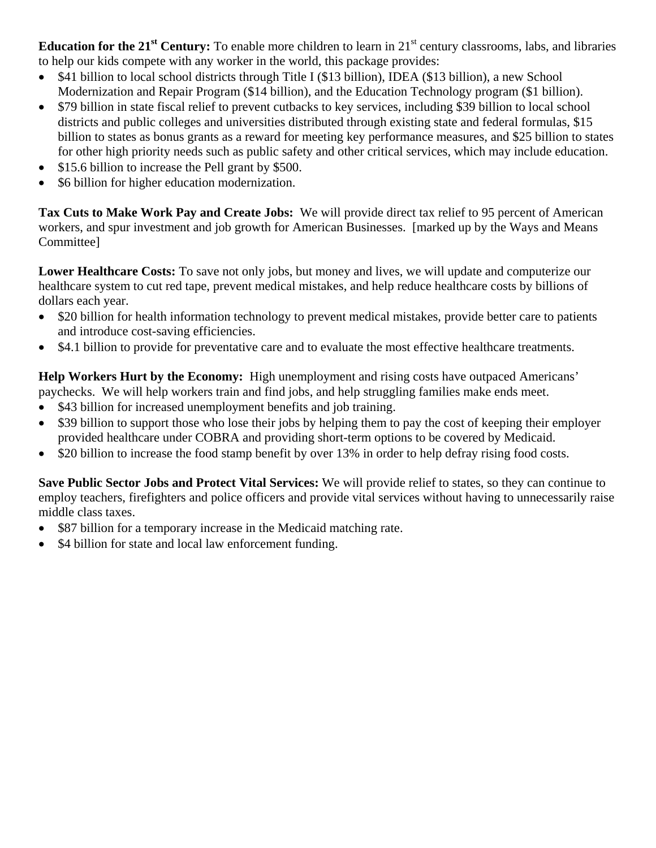**Education for the 21<sup>st</sup> Century:** To enable more children to learn in 21<sup>st</sup> century classrooms, labs, and libraries to help our kids compete with any worker in the world, this package provides:

- \$41 billion to local school districts through Title I (\$13 billion), IDEA (\$13 billion), a new School Modernization and Repair Program (\$14 billion), and the Education Technology program (\$1 billion).
- \$79 billion in state fiscal relief to prevent cutbacks to key services, including \$39 billion to local school districts and public colleges and universities distributed through existing state and federal formulas, \$15 billion to states as bonus grants as a reward for meeting key performance measures, and \$25 billion to states for other high priority needs such as public safety and other critical services, which may include education.
- \$15.6 billion to increase the Pell grant by \$500.
- \$6 billion for higher education modernization.

**Tax Cuts to Make Work Pay and Create Jobs:** We will provide direct tax relief to 95 percent of American workers, and spur investment and job growth for American Businesses. [marked up by the Ways and Means Committee]

**Lower Healthcare Costs:** To save not only jobs, but money and lives, we will update and computerize our healthcare system to cut red tape, prevent medical mistakes, and help reduce healthcare costs by billions of dollars each year.

- \$20 billion for health information technology to prevent medical mistakes, provide better care to patients and introduce cost-saving efficiencies.
- \$4.1 billion to provide for preventative care and to evaluate the most effective healthcare treatments.

**Help Workers Hurt by the Economy:** High unemployment and rising costs have outpaced Americans' paychecks. We will help workers train and find jobs, and help struggling families make ends meet.

- \$43 billion for increased unemployment benefits and job training.
- \$39 billion to support those who lose their jobs by helping them to pay the cost of keeping their employer provided healthcare under COBRA and providing short-term options to be covered by Medicaid.
- \$20 billion to increase the food stamp benefit by over 13% in order to help defray rising food costs.

**Save Public Sector Jobs and Protect Vital Services:** We will provide relief to states, so they can continue to employ teachers, firefighters and police officers and provide vital services without having to unnecessarily raise middle class taxes.

- \$87 billion for a temporary increase in the Medicaid matching rate.
- \$4 billion for state and local law enforcement funding.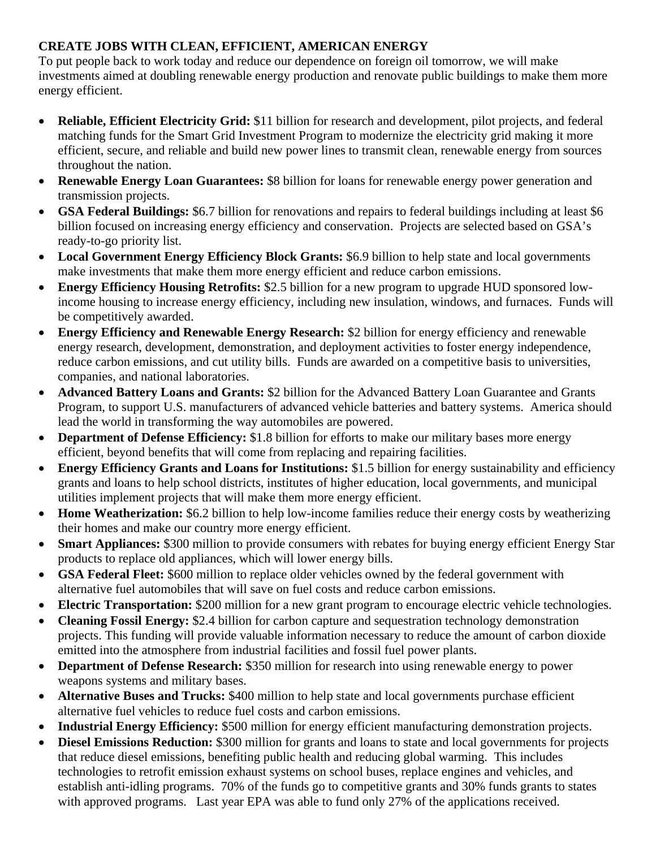## **CREATE JOBS WITH CLEAN, EFFICIENT, AMERICAN ENERGY**

To put people back to work today and reduce our dependence on foreign oil tomorrow, we will make investments aimed at doubling renewable energy production and renovate public buildings to make them more energy efficient.

- **Reliable, Efficient Electricity Grid:** \$11 billion for research and development, pilot projects, and federal matching funds for the Smart Grid Investment Program to modernize the electricity grid making it more efficient, secure, and reliable and build new power lines to transmit clean, renewable energy from sources throughout the nation.
- **Renewable Energy Loan Guarantees:** \$8 billion for loans for renewable energy power generation and transmission projects.
- **GSA Federal Buildings:** \$6.7 billion for renovations and repairs to federal buildings including at least \$6 billion focused on increasing energy efficiency and conservation. Projects are selected based on GSA's ready-to-go priority list.
- **Local Government Energy Efficiency Block Grants:** \$6.9 billion to help state and local governments make investments that make them more energy efficient and reduce carbon emissions.
- **Energy Efficiency Housing Retrofits:** \$2.5 billion for a new program to upgrade HUD sponsored lowincome housing to increase energy efficiency, including new insulation, windows, and furnaces. Funds will be competitively awarded.
- **Energy Efficiency and Renewable Energy Research:** \$2 billion for energy efficiency and renewable energy research, development, demonstration, and deployment activities to foster energy independence, reduce carbon emissions, and cut utility bills. Funds are awarded on a competitive basis to universities, companies, and national laboratories.
- **Advanced Battery Loans and Grants:** \$2 billion for the Advanced Battery Loan Guarantee and Grants Program, to support U.S. manufacturers of advanced vehicle batteries and battery systems. America should lead the world in transforming the way automobiles are powered.
- **Department of Defense Efficiency:** \$1.8 billion for efforts to make our military bases more energy efficient, beyond benefits that will come from replacing and repairing facilities.
- **Energy Efficiency Grants and Loans for Institutions:** \$1.5 billion for energy sustainability and efficiency grants and loans to help school districts, institutes of higher education, local governments, and municipal utilities implement projects that will make them more energy efficient.
- **Home Weatherization:** \$6.2 billion to help low-income families reduce their energy costs by weatherizing their homes and make our country more energy efficient.
- **Smart Appliances:** \$300 million to provide consumers with rebates for buying energy efficient Energy Star products to replace old appliances, which will lower energy bills.
- **GSA Federal Fleet:** \$600 million to replace older vehicles owned by the federal government with alternative fuel automobiles that will save on fuel costs and reduce carbon emissions.
- **Electric Transportation:** \$200 million for a new grant program to encourage electric vehicle technologies.
- **Cleaning Fossil Energy:** \$2.4 billion for carbon capture and sequestration technology demonstration projects. This funding will provide valuable information necessary to reduce the amount of carbon dioxide emitted into the atmosphere from industrial facilities and fossil fuel power plants.
- **Department of Defense Research:** \$350 million for research into using renewable energy to power weapons systems and military bases.
- **Alternative Buses and Trucks:** \$400 million to help state and local governments purchase efficient alternative fuel vehicles to reduce fuel costs and carbon emissions.
- **Industrial Energy Efficiency:** \$500 million for energy efficient manufacturing demonstration projects.
- **Diesel Emissions Reduction:** \$300 million for grants and loans to state and local governments for projects that reduce diesel emissions, benefiting public health and reducing global warming. This includes technologies to retrofit emission exhaust systems on school buses, replace engines and vehicles, and establish anti-idling programs. 70% of the funds go to competitive grants and 30% funds grants to states with approved programs. Last year EPA was able to fund only 27% of the applications received.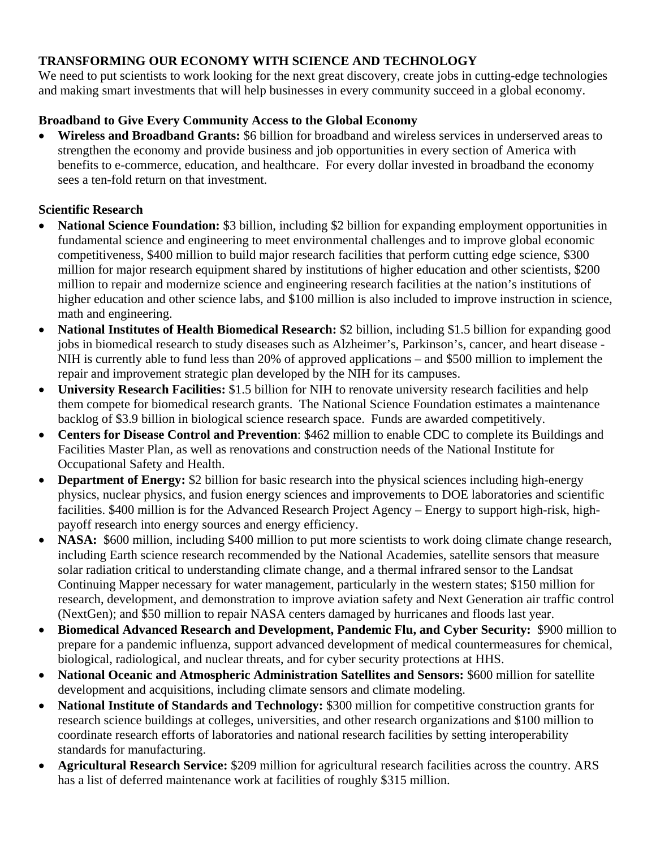### **TRANSFORMING OUR ECONOMY WITH SCIENCE AND TECHNOLOGY**

We need to put scientists to work looking for the next great discovery, create jobs in cutting-edge technologies and making smart investments that will help businesses in every community succeed in a global economy.

## **Broadband to Give Every Community Access to the Global Economy**

• **Wireless and Broadband Grants:** \$6 billion for broadband and wireless services in underserved areas to strengthen the economy and provide business and job opportunities in every section of America with benefits to e-commerce, education, and healthcare. For every dollar invested in broadband the economy sees a ten-fold return on that investment.

## **Scientific Research**

- **National Science Foundation:** \$3 billion, including \$2 billion for expanding employment opportunities in fundamental science and engineering to meet environmental challenges and to improve global economic competitiveness, \$400 million to build major research facilities that perform cutting edge science, \$300 million for major research equipment shared by institutions of higher education and other scientists, \$200 million to repair and modernize science and engineering research facilities at the nation's institutions of higher education and other science labs, and \$100 million is also included to improve instruction in science, math and engineering.
- **National Institutes of Health Biomedical Research:** \$2 billion, including \$1.5 billion for expanding good jobs in biomedical research to study diseases such as Alzheimer's, Parkinson's, cancer, and heart disease - NIH is currently able to fund less than 20% of approved applications – and \$500 million to implement the repair and improvement strategic plan developed by the NIH for its campuses.
- **University Research Facilities:** \$1.5 billion for NIH to renovate university research facilities and help them compete for biomedical research grants. The National Science Foundation estimates a maintenance backlog of \$3.9 billion in biological science research space. Funds are awarded competitively.
- **Centers for Disease Control and Prevention**: \$462 million to enable CDC to complete its Buildings and Facilities Master Plan, as well as renovations and construction needs of the National Institute for Occupational Safety and Health.
- **Department of Energy:** \$2 billion for basic research into the physical sciences including high-energy physics, nuclear physics, and fusion energy sciences and improvements to DOE laboratories and scientific facilities. \$400 million is for the Advanced Research Project Agency – Energy to support high-risk, highpayoff research into energy sources and energy efficiency.
- **NASA:** \$600 million, including \$400 million to put more scientists to work doing climate change research, including Earth science research recommended by the National Academies, satellite sensors that measure solar radiation critical to understanding climate change, and a thermal infrared sensor to the Landsat Continuing Mapper necessary for water management, particularly in the western states; \$150 million for research, development, and demonstration to improve aviation safety and Next Generation air traffic control (NextGen); and \$50 million to repair NASA centers damaged by hurricanes and floods last year.
- **Biomedical Advanced Research and Development, Pandemic Flu, and Cyber Security:** \$900 million to prepare for a pandemic influenza, support advanced development of medical countermeasures for chemical, biological, radiological, and nuclear threats, and for cyber security protections at HHS.
- **National Oceanic and Atmospheric Administration Satellites and Sensors:** \$600 million for satellite development and acquisitions, including climate sensors and climate modeling.
- **National Institute of Standards and Technology:** \$300 million for competitive construction grants for research science buildings at colleges, universities, and other research organizations and \$100 million to coordinate research efforts of laboratories and national research facilities by setting interoperability standards for manufacturing.
- **Agricultural Research Service:** \$209 million for agricultural research facilities across the country. ARS has a list of deferred maintenance work at facilities of roughly \$315 million.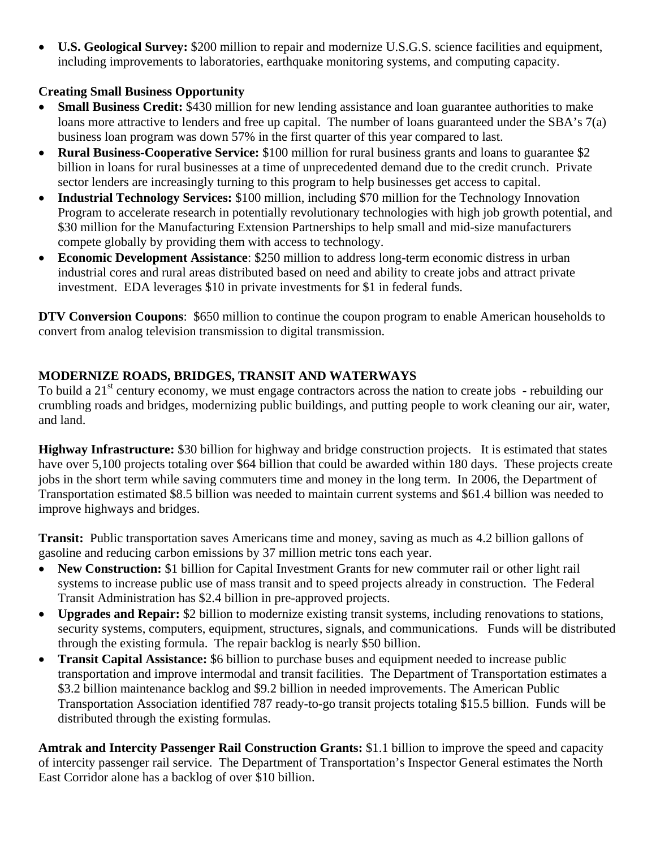• **U.S. Geological Survey:** \$200 million to repair and modernize U.S.G.S. science facilities and equipment, including improvements to laboratories, earthquake monitoring systems, and computing capacity.

## **Creating Small Business Opportunity**

- **Small Business Credit:** \$430 million for new lending assistance and loan guarantee authorities to make loans more attractive to lenders and free up capital. The number of loans guaranteed under the SBA's 7(a) business loan program was down 57% in the first quarter of this year compared to last.
- **Rural Business-Cooperative Service:** \$100 million for rural business grants and loans to guarantee \$2 billion in loans for rural businesses at a time of unprecedented demand due to the credit crunch. Private sector lenders are increasingly turning to this program to help businesses get access to capital.
- **Industrial Technology Services:** \$100 million, including \$70 million for the Technology Innovation Program to accelerate research in potentially revolutionary technologies with high job growth potential, and \$30 million for the Manufacturing Extension Partnerships to help small and mid-size manufacturers compete globally by providing them with access to technology.
- **Economic Development Assistance**: \$250 million to address long-term economic distress in urban industrial cores and rural areas distributed based on need and ability to create jobs and attract private investment. EDA leverages \$10 in private investments for \$1 in federal funds.

**DTV Conversion Coupons**: \$650 million to continue the coupon program to enable American households to convert from analog television transmission to digital transmission.

## **MODERNIZE ROADS, BRIDGES, TRANSIT AND WATERWAYS**

To build a 21<sup>st</sup> century economy, we must engage contractors across the nation to create jobs - rebuilding our crumbling roads and bridges, modernizing public buildings, and putting people to work cleaning our air, water, and land.

**Highway Infrastructure:** \$30 billion for highway and bridge construction projects. It is estimated that states have over 5,100 projects totaling over \$64 billion that could be awarded within 180 days. These projects create jobs in the short term while saving commuters time and money in the long term. In 2006, the Department of Transportation estimated \$8.5 billion was needed to maintain current systems and \$61.4 billion was needed to improve highways and bridges.

**Transit:** Public transportation saves Americans time and money, saving as much as 4.2 billion gallons of gasoline and reducing carbon emissions by 37 million metric tons each year.

- **New Construction:** \$1 billion for Capital Investment Grants for new commuter rail or other light rail systems to increase public use of mass transit and to speed projects already in construction. The Federal Transit Administration has \$2.4 billion in pre-approved projects.
- **Upgrades and Repair:** \$2 billion to modernize existing transit systems, including renovations to stations, security systems, computers, equipment, structures, signals, and communications. Funds will be distributed through the existing formula. The repair backlog is nearly \$50 billion.
- **Transit Capital Assistance:** \$6 billion to purchase buses and equipment needed to increase public transportation and improve intermodal and transit facilities. The Department of Transportation estimates a \$3.2 billion maintenance backlog and \$9.2 billion in needed improvements. The American Public Transportation Association identified 787 ready-to-go transit projects totaling \$15.5 billion. Funds will be distributed through the existing formulas.

**Amtrak and Intercity Passenger Rail Construction Grants:** \$1.1 billion to improve the speed and capacity of intercity passenger rail service. The Department of Transportation's Inspector General estimates the North East Corridor alone has a backlog of over \$10 billion.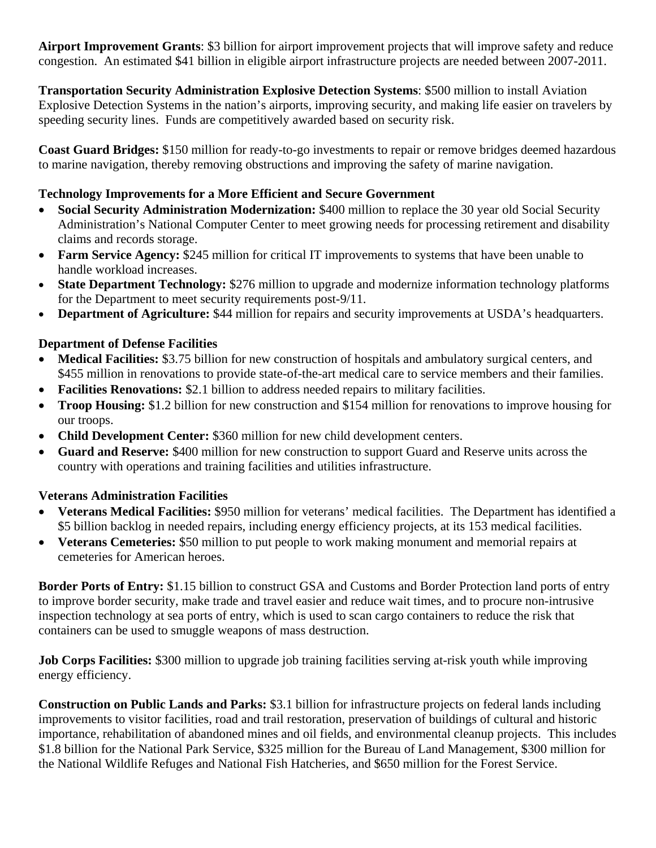**Airport Improvement Grants**: \$3 billion for airport improvement projects that will improve safety and reduce congestion. An estimated \$41 billion in eligible airport infrastructure projects are needed between 2007-2011.

**Transportation Security Administration Explosive Detection Systems**: \$500 million to install Aviation Explosive Detection Systems in the nation's airports, improving security, and making life easier on travelers by speeding security lines. Funds are competitively awarded based on security risk.

**Coast Guard Bridges:** \$150 million for ready-to-go investments to repair or remove bridges deemed hazardous to marine navigation, thereby removing obstructions and improving the safety of marine navigation.

## **Technology Improvements for a More Efficient and Secure Government**

- **Social Security Administration Modernization:** \$400 million to replace the 30 year old Social Security Administration's National Computer Center to meet growing needs for processing retirement and disability claims and records storage.
- **Farm Service Agency:** \$245 million for critical IT improvements to systems that have been unable to handle workload increases.
- **State Department Technology:** \$276 million to upgrade and modernize information technology platforms for the Department to meet security requirements post-9/11.
- **Department of Agriculture:** \$44 million for repairs and security improvements at USDA's headquarters.

#### **Department of Defense Facilities**

- **Medical Facilities:** \$3.75 billion for new construction of hospitals and ambulatory surgical centers, and \$455 million in renovations to provide state-of-the-art medical care to service members and their families.
- **Facilities Renovations:** \$2.1 billion to address needed repairs to military facilities.
- **Troop Housing:** \$1.2 billion for new construction and \$154 million for renovations to improve housing for our troops.
- **Child Development Center:** \$360 million for new child development centers.
- **Guard and Reserve:** \$400 million for new construction to support Guard and Reserve units across the country with operations and training facilities and utilities infrastructure.

#### **Veterans Administration Facilities**

- **Veterans Medical Facilities:** \$950 million for veterans' medical facilities. The Department has identified a \$5 billion backlog in needed repairs, including energy efficiency projects, at its 153 medical facilities.
- **Veterans Cemeteries:** \$50 million to put people to work making monument and memorial repairs at cemeteries for American heroes.

**Border Ports of Entry:** \$1.15 billion to construct GSA and Customs and Border Protection land ports of entry to improve border security, make trade and travel easier and reduce wait times, and to procure non-intrusive inspection technology at sea ports of entry, which is used to scan cargo containers to reduce the risk that containers can be used to smuggle weapons of mass destruction.

**Job Corps Facilities:** \$300 million to upgrade job training facilities serving at-risk youth while improving energy efficiency.

**Construction on Public Lands and Parks:** \$3.1 billion for infrastructure projects on federal lands including improvements to visitor facilities, road and trail restoration, preservation of buildings of cultural and historic importance, rehabilitation of abandoned mines and oil fields, and environmental cleanup projects. This includes \$1.8 billion for the National Park Service, \$325 million for the Bureau of Land Management, \$300 million for the National Wildlife Refuges and National Fish Hatcheries, and \$650 million for the Forest Service.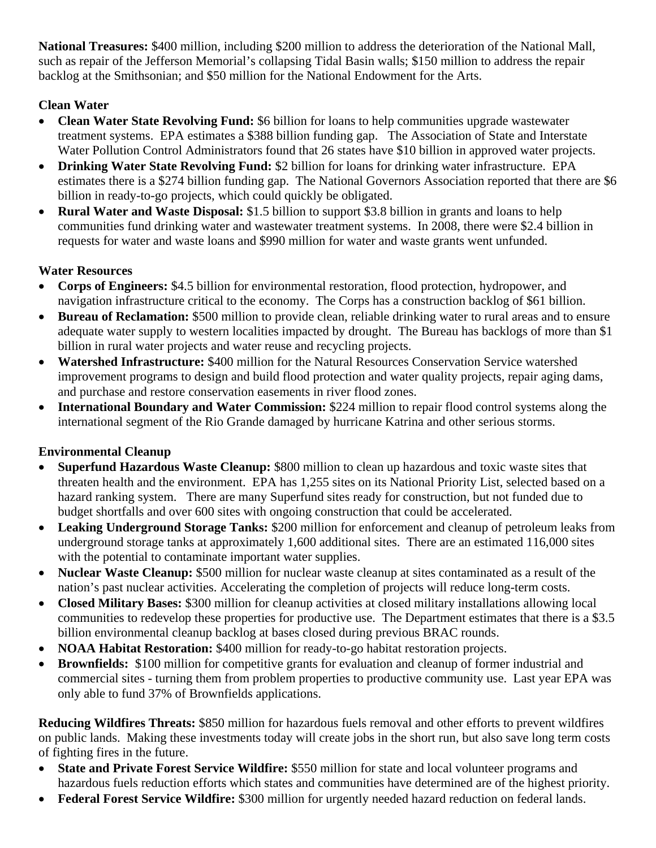**National Treasures:** \$400 million, including \$200 million to address the deterioration of the National Mall, such as repair of the Jefferson Memorial's collapsing Tidal Basin walls; \$150 million to address the repair backlog at the Smithsonian; and \$50 million for the National Endowment for the Arts.

# **Clean Water**

- **Clean Water State Revolving Fund:** \$6 billion for loans to help communities upgrade wastewater treatment systems. EPA estimates a \$388 billion funding gap. The Association of State and Interstate Water Pollution Control Administrators found that 26 states have \$10 billion in approved water projects.
- **Drinking Water State Revolving Fund:** \$2 billion for loans for drinking water infrastructure. EPA estimates there is a \$274 billion funding gap. The National Governors Association reported that there are \$6 billion in ready-to-go projects, which could quickly be obligated.
- **Rural Water and Waste Disposal:** \$1.5 billion to support \$3.8 billion in grants and loans to help communities fund drinking water and wastewater treatment systems. In 2008, there were \$2.4 billion in requests for water and waste loans and \$990 million for water and waste grants went unfunded.

# **Water Resources**

- **Corps of Engineers:** \$4.5 billion for environmental restoration, flood protection, hydropower, and navigation infrastructure critical to the economy. The Corps has a construction backlog of \$61 billion.
- **Bureau of Reclamation:** \$500 million to provide clean, reliable drinking water to rural areas and to ensure adequate water supply to western localities impacted by drought. The Bureau has backlogs of more than \$1 billion in rural water projects and water reuse and recycling projects.
- **Watershed Infrastructure:** \$400 million for the Natural Resources Conservation Service watershed improvement programs to design and build flood protection and water quality projects, repair aging dams, and purchase and restore conservation easements in river flood zones.
- **International Boundary and Water Commission:** \$224 million to repair flood control systems along the international segment of the Rio Grande damaged by hurricane Katrina and other serious storms.

# **Environmental Cleanup**

- **Superfund Hazardous Waste Cleanup:** \$800 million to clean up hazardous and toxic waste sites that threaten health and the environment. EPA has 1,255 sites on its National Priority List, selected based on a hazard ranking system. There are many Superfund sites ready for construction, but not funded due to budget shortfalls and over 600 sites with ongoing construction that could be accelerated.
- **Leaking Underground Storage Tanks:** \$200 million for enforcement and cleanup of petroleum leaks from underground storage tanks at approximately 1,600 additional sites. There are an estimated 116,000 sites with the potential to contaminate important water supplies.
- **Nuclear Waste Cleanup:** \$500 million for nuclear waste cleanup at sites contaminated as a result of the nation's past nuclear activities. Accelerating the completion of projects will reduce long-term costs.
- **Closed Military Bases:** \$300 million for cleanup activities at closed military installations allowing local communities to redevelop these properties for productive use. The Department estimates that there is a \$3.5 billion environmental cleanup backlog at bases closed during previous BRAC rounds.
- **NOAA Habitat Restoration:** \$400 million for ready-to-go habitat restoration projects.
- **Brownfields:** \$100 million for competitive grants for evaluation and cleanup of former industrial and commercial sites - turning them from problem properties to productive community use. Last year EPA was only able to fund 37% of Brownfields applications.

**Reducing Wildfires Threats:** \$850 million for hazardous fuels removal and other efforts to prevent wildfires on public lands. Making these investments today will create jobs in the short run, but also save long term costs of fighting fires in the future.

- **State and Private Forest Service Wildfire:** \$550 million for state and local volunteer programs and hazardous fuels reduction efforts which states and communities have determined are of the highest priority.
- **Federal Forest Service Wildfire:** \$300 million for urgently needed hazard reduction on federal lands.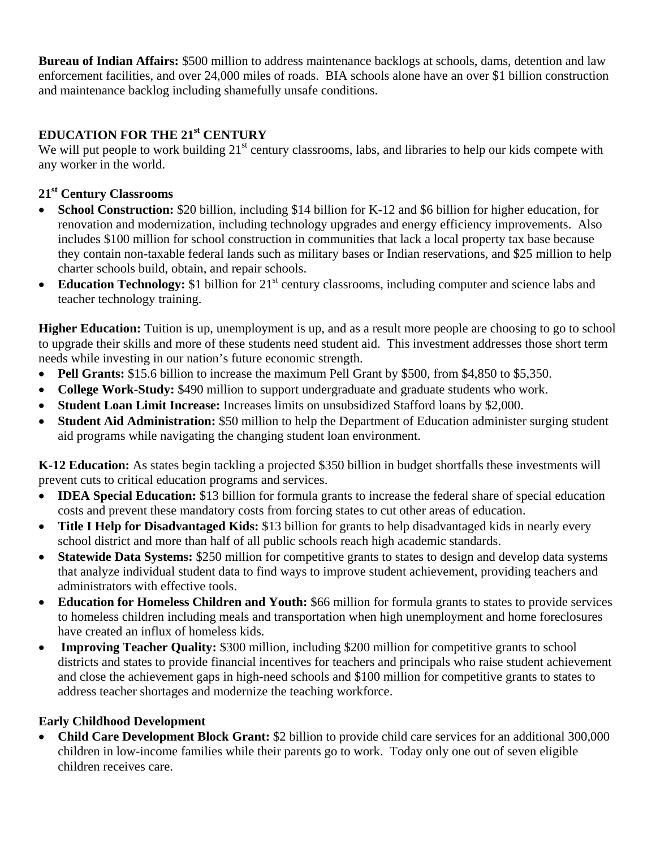**Bureau of Indian Affairs:** \$500 million to address maintenance backlogs at schools, dams, detention and law enforcement facilities, and over 24,000 miles of roads. BIA schools alone have an over \$1 billion construction and maintenance backlog including shamefully unsafe conditions.

## **EDUCATION FOR THE 21st CENTURY**

We will put people to work building 21<sup>st</sup> century classrooms, labs, and libraries to help our kids compete with any worker in the world.

## **21st Century Classrooms**

- **School Construction:** \$20 billion, including \$14 billion for K-12 and \$6 billion for higher education, for renovation and modernization, including technology upgrades and energy efficiency improvements. Also includes \$100 million for school construction in communities that lack a local property tax base because they contain non-taxable federal lands such as military bases or Indian reservations, and \$25 million to help charter schools build, obtain, and repair schools.
- **Education Technology:** \$1 billion for 21<sup>st</sup> century classrooms, including computer and science labs and teacher technology training.

**Higher Education:** Tuition is up, unemployment is up, and as a result more people are choosing to go to school to upgrade their skills and more of these students need student aid. This investment addresses those short term needs while investing in our nation's future economic strength.

- **Pell Grants:** \$15.6 billion to increase the maximum Pell Grant by \$500, from \$4,850 to \$5,350.
- **College Work-Study:** \$490 million to support undergraduate and graduate students who work.
- **Student Loan Limit Increase:** Increases limits on unsubsidized Stafford loans by \$2,000.
- **Student Aid Administration:** \$50 million to help the Department of Education administer surging student aid programs while navigating the changing student loan environment.

**K-12 Education:** As states begin tackling a projected \$350 billion in budget shortfalls these investments will prevent cuts to critical education programs and services.

- **IDEA Special Education:** \$13 billion for formula grants to increase the federal share of special education costs and prevent these mandatory costs from forcing states to cut other areas of education.
- **Title I Help for Disadvantaged Kids:** \$13 billion for grants to help disadvantaged kids in nearly every school district and more than half of all public schools reach high academic standards.
- **Statewide Data Systems:** \$250 million for competitive grants to states to design and develop data systems that analyze individual student data to find ways to improve student achievement, providing teachers and administrators with effective tools.
- **Education for Homeless Children and Youth:** \$66 million for formula grants to states to provide services to homeless children including meals and transportation when high unemployment and home foreclosures have created an influx of homeless kids.
- **Improving Teacher Quality:** \$300 million, including \$200 million for competitive grants to school districts and states to provide financial incentives for teachers and principals who raise student achievement and close the achievement gaps in high-need schools and \$100 million for competitive grants to states to address teacher shortages and modernize the teaching workforce.

## **Early Childhood Development**

• **Child Care Development Block Grant:** \$2 billion to provide child care services for an additional 300,000 children in low-income families while their parents go to work. Today only one out of seven eligible children receives care.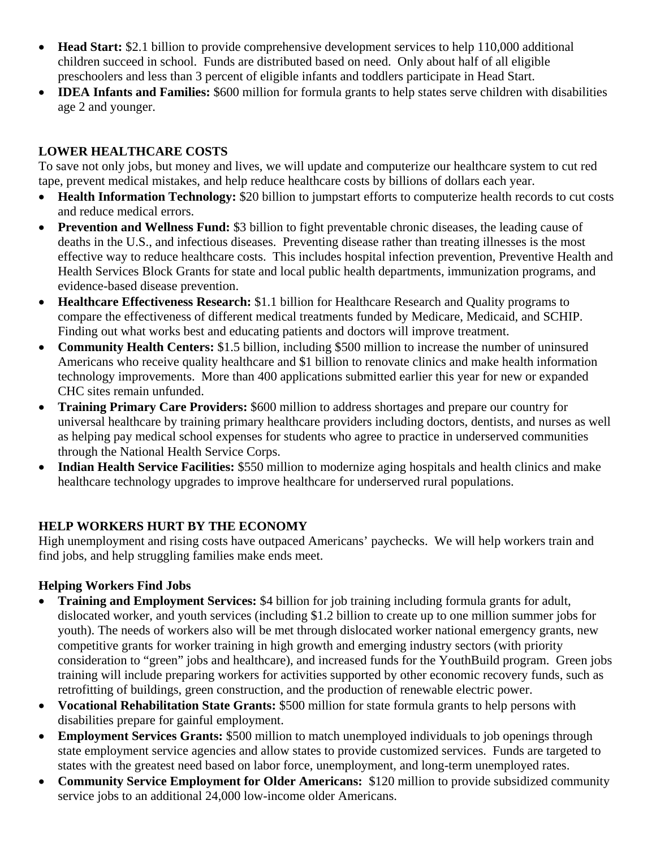- **Head Start:** \$2.1 billion to provide comprehensive development services to help 110,000 additional children succeed in school. Funds are distributed based on need. Only about half of all eligible preschoolers and less than 3 percent of eligible infants and toddlers participate in Head Start.
- **IDEA Infants and Families:** \$600 million for formula grants to help states serve children with disabilities age 2 and younger.

## **LOWER HEALTHCARE COSTS**

To save not only jobs, but money and lives, we will update and computerize our healthcare system to cut red tape, prevent medical mistakes, and help reduce healthcare costs by billions of dollars each year.

- **Health Information Technology:** \$20 billion to jumpstart efforts to computerize health records to cut costs and reduce medical errors.
- **Prevention and Wellness Fund:** \$3 billion to fight preventable chronic diseases, the leading cause of deaths in the U.S., and infectious diseases. Preventing disease rather than treating illnesses is the most effective way to reduce healthcare costs. This includes hospital infection prevention, Preventive Health and Health Services Block Grants for state and local public health departments, immunization programs, and evidence-based disease prevention.
- **Healthcare Effectiveness Research:** \$1.1 billion for Healthcare Research and Quality programs to compare the effectiveness of different medical treatments funded by Medicare, Medicaid, and SCHIP. Finding out what works best and educating patients and doctors will improve treatment.
- **Community Health Centers:** \$1.5 billion, including \$500 million to increase the number of uninsured Americans who receive quality healthcare and \$1 billion to renovate clinics and make health information technology improvements. More than 400 applications submitted earlier this year for new or expanded CHC sites remain unfunded.
- **Training Primary Care Providers:** \$600 million to address shortages and prepare our country for universal healthcare by training primary healthcare providers including doctors, dentists, and nurses as well as helping pay medical school expenses for students who agree to practice in underserved communities through the National Health Service Corps.
- **Indian Health Service Facilities:** \$550 million to modernize aging hospitals and health clinics and make healthcare technology upgrades to improve healthcare for underserved rural populations.

# **HELP WORKERS HURT BY THE ECONOMY**

High unemployment and rising costs have outpaced Americans' paychecks. We will help workers train and find jobs, and help struggling families make ends meet.

## **Helping Workers Find Jobs**

- **Training and Employment Services:** \$4 billion for job training including formula grants for adult, dislocated worker, and youth services (including \$1.2 billion to create up to one million summer jobs for youth). The needs of workers also will be met through dislocated worker national emergency grants, new competitive grants for worker training in high growth and emerging industry sectors (with priority consideration to "green" jobs and healthcare), and increased funds for the YouthBuild program. Green jobs training will include preparing workers for activities supported by other economic recovery funds, such as retrofitting of buildings, green construction, and the production of renewable electric power.
- **Vocational Rehabilitation State Grants:** \$500 million for state formula grants to help persons with disabilities prepare for gainful employment.
- **Employment Services Grants:** \$500 million to match unemployed individuals to job openings through state employment service agencies and allow states to provide customized services. Funds are targeted to states with the greatest need based on labor force, unemployment, and long-term unemployed rates.
- **Community Service Employment for Older Americans:** \$120 million to provide subsidized community service jobs to an additional 24,000 low-income older Americans.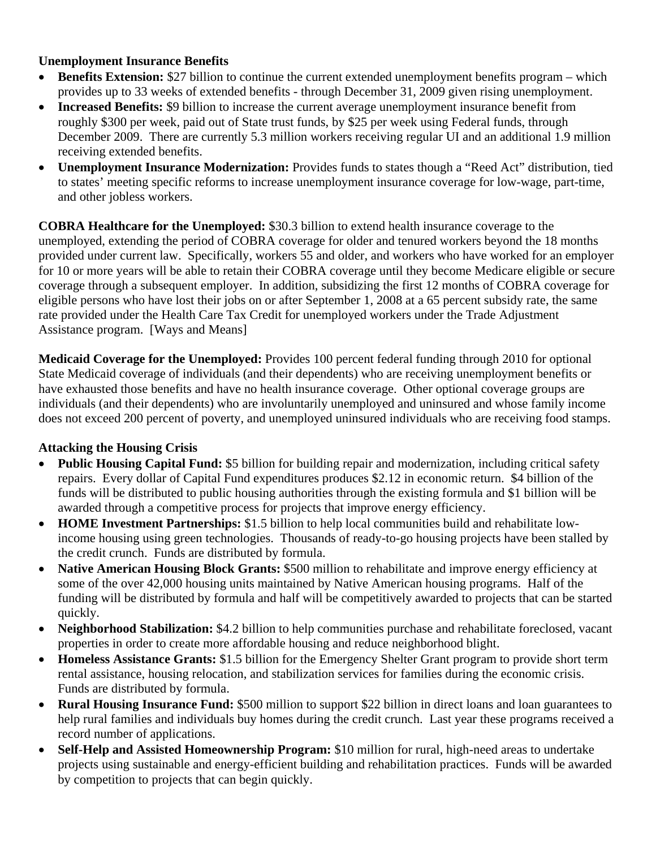#### **Unemployment Insurance Benefits**

- **Benefits Extension:** \$27 billion to continue the current extended unemployment benefits program which provides up to 33 weeks of extended benefits - through December 31, 2009 given rising unemployment.
- **Increased Benefits:** \$9 billion to increase the current average unemployment insurance benefit from roughly \$300 per week, paid out of State trust funds, by \$25 per week using Federal funds, through December 2009. There are currently 5.3 million workers receiving regular UI and an additional 1.9 million receiving extended benefits.
- **Unemployment Insurance Modernization:** Provides funds to states though a "Reed Act" distribution, tied to states' meeting specific reforms to increase unemployment insurance coverage for low-wage, part-time, and other jobless workers.

**COBRA Healthcare for the Unemployed:** \$30.3 billion to extend health insurance coverage to the unemployed, extending the period of COBRA coverage for older and tenured workers beyond the 18 months provided under current law. Specifically, workers 55 and older, and workers who have worked for an employer for 10 or more years will be able to retain their COBRA coverage until they become Medicare eligible or secure coverage through a subsequent employer. In addition, subsidizing the first 12 months of COBRA coverage for eligible persons who have lost their jobs on or after September 1, 2008 at a 65 percent subsidy rate, the same rate provided under the Health Care Tax Credit for unemployed workers under the Trade Adjustment Assistance program. [Ways and Means]

**Medicaid Coverage for the Unemployed:** Provides 100 percent federal funding through 2010 for optional State Medicaid coverage of individuals (and their dependents) who are receiving unemployment benefits or have exhausted those benefits and have no health insurance coverage. Other optional coverage groups are individuals (and their dependents) who are involuntarily unemployed and uninsured and whose family income does not exceed 200 percent of poverty, and unemployed uninsured individuals who are receiving food stamps.

## **Attacking the Housing Crisis**

- **Public Housing Capital Fund:** \$5 billion for building repair and modernization, including critical safety repairs. Every dollar of Capital Fund expenditures produces \$2.12 in economic return. \$4 billion of the funds will be distributed to public housing authorities through the existing formula and \$1 billion will be awarded through a competitive process for projects that improve energy efficiency.
- **HOME Investment Partnerships:** \$1.5 billion to help local communities build and rehabilitate lowincome housing using green technologies. Thousands of ready-to-go housing projects have been stalled by the credit crunch. Funds are distributed by formula.
- **Native American Housing Block Grants:** \$500 million to rehabilitate and improve energy efficiency at some of the over 42,000 housing units maintained by Native American housing programs. Half of the funding will be distributed by formula and half will be competitively awarded to projects that can be started quickly.
- **Neighborhood Stabilization:** \$4.2 billion to help communities purchase and rehabilitate foreclosed, vacant properties in order to create more affordable housing and reduce neighborhood blight.
- **Homeless Assistance Grants:** \$1.5 billion for the Emergency Shelter Grant program to provide short term rental assistance, housing relocation, and stabilization services for families during the economic crisis. Funds are distributed by formula.
- **Rural Housing Insurance Fund:** \$500 million to support \$22 billion in direct loans and loan guarantees to help rural families and individuals buy homes during the credit crunch. Last year these programs received a record number of applications.
- **Self-Help and Assisted Homeownership Program:** \$10 million for rural, high-need areas to undertake projects using sustainable and energy-efficient building and rehabilitation practices. Funds will be awarded by competition to projects that can begin quickly.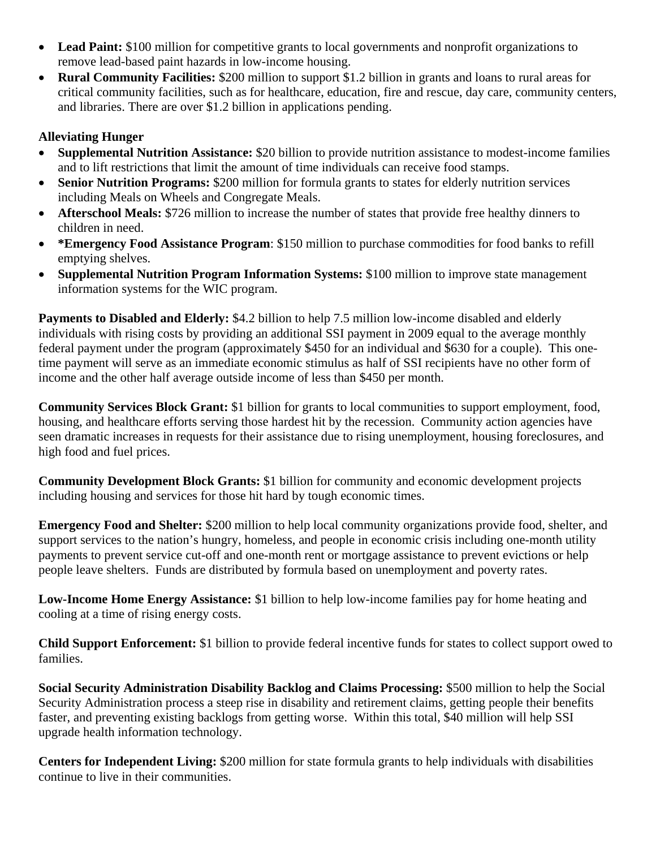- Lead Paint: \$100 million for competitive grants to local governments and nonprofit organizations to remove lead-based paint hazards in low-income housing.
- **Rural Community Facilities:** \$200 million to support \$1.2 billion in grants and loans to rural areas for critical community facilities, such as for healthcare, education, fire and rescue, day care, community centers, and libraries. There are over \$1.2 billion in applications pending.

#### **Alleviating Hunger**

- **Supplemental Nutrition Assistance:** \$20 billion to provide nutrition assistance to modest-income families and to lift restrictions that limit the amount of time individuals can receive food stamps.
- **Senior Nutrition Programs:** \$200 million for formula grants to states for elderly nutrition services including Meals on Wheels and Congregate Meals.
- **Afterschool Meals:** \$726 million to increase the number of states that provide free healthy dinners to children in need.
- **\*Emergency Food Assistance Program**: \$150 million to purchase commodities for food banks to refill emptying shelves.
- **Supplemental Nutrition Program Information Systems:** \$100 million to improve state management information systems for the WIC program.

**Payments to Disabled and Elderly:** \$4.2 billion to help 7.5 million low-income disabled and elderly individuals with rising costs by providing an additional SSI payment in 2009 equal to the average monthly federal payment under the program (approximately \$450 for an individual and \$630 for a couple). This onetime payment will serve as an immediate economic stimulus as half of SSI recipients have no other form of income and the other half average outside income of less than \$450 per month.

**Community Services Block Grant:** \$1 billion for grants to local communities to support employment, food, housing, and healthcare efforts serving those hardest hit by the recession. Community action agencies have seen dramatic increases in requests for their assistance due to rising unemployment, housing foreclosures, and high food and fuel prices.

**Community Development Block Grants:** \$1 billion for community and economic development projects including housing and services for those hit hard by tough economic times.

**Emergency Food and Shelter:** \$200 million to help local community organizations provide food, shelter, and support services to the nation's hungry, homeless, and people in economic crisis including one-month utility payments to prevent service cut-off and one-month rent or mortgage assistance to prevent evictions or help people leave shelters. Funds are distributed by formula based on unemployment and poverty rates.

**Low-Income Home Energy Assistance:** \$1 billion to help low-income families pay for home heating and cooling at a time of rising energy costs.

**Child Support Enforcement:** \$1 billion to provide federal incentive funds for states to collect support owed to families.

**Social Security Administration Disability Backlog and Claims Processing:** \$500 million to help the Social Security Administration process a steep rise in disability and retirement claims, getting people their benefits faster, and preventing existing backlogs from getting worse. Within this total, \$40 million will help SSI upgrade health information technology.

**Centers for Independent Living:** \$200 million for state formula grants to help individuals with disabilities continue to live in their communities.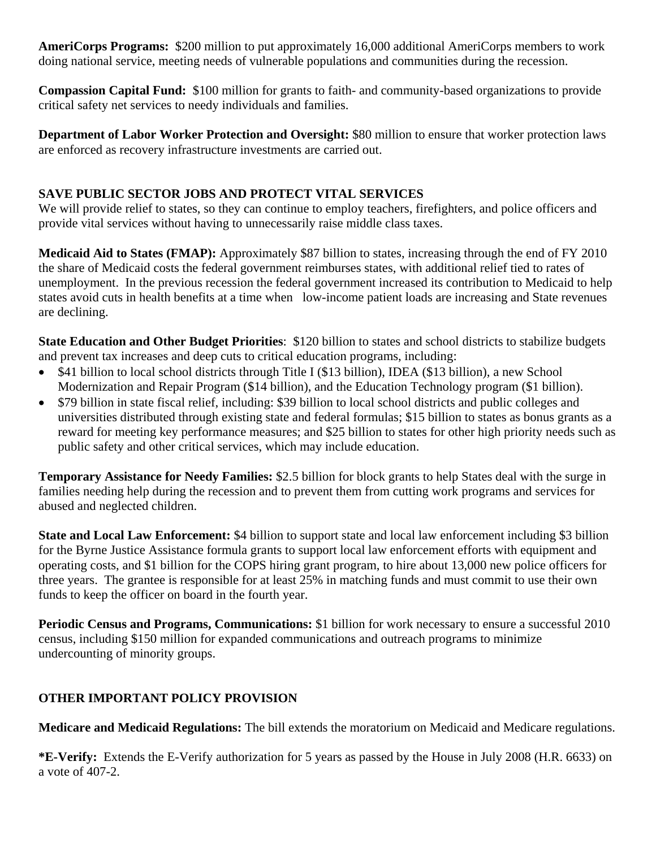**AmeriCorps Programs:** \$200 million to put approximately 16,000 additional AmeriCorps members to work doing national service, meeting needs of vulnerable populations and communities during the recession.

**Compassion Capital Fund:** \$100 million for grants to faith- and community-based organizations to provide critical safety net services to needy individuals and families.

**Department of Labor Worker Protection and Oversight:** \$80 million to ensure that worker protection laws are enforced as recovery infrastructure investments are carried out.

## **SAVE PUBLIC SECTOR JOBS AND PROTECT VITAL SERVICES**

We will provide relief to states, so they can continue to employ teachers, firefighters, and police officers and provide vital services without having to unnecessarily raise middle class taxes.

**Medicaid Aid to States (FMAP):** Approximately \$87 billion to states, increasing through the end of FY 2010 the share of Medicaid costs the federal government reimburses states, with additional relief tied to rates of unemployment. In the previous recession the federal government increased its contribution to Medicaid to help states avoid cuts in health benefits at a time when low-income patient loads are increasing and State revenues are declining.

**State Education and Other Budget Priorities**: \$120 billion to states and school districts to stabilize budgets and prevent tax increases and deep cuts to critical education programs, including:

- \$41 billion to local school districts through Title I (\$13 billion), IDEA (\$13 billion), a new School Modernization and Repair Program (\$14 billion), and the Education Technology program (\$1 billion).
- \$79 billion in state fiscal relief, including: \$39 billion to local school districts and public colleges and universities distributed through existing state and federal formulas; \$15 billion to states as bonus grants as a reward for meeting key performance measures; and \$25 billion to states for other high priority needs such as public safety and other critical services, which may include education.

**Temporary Assistance for Needy Families:** \$2.5 billion for block grants to help States deal with the surge in families needing help during the recession and to prevent them from cutting work programs and services for abused and neglected children.

**State and Local Law Enforcement:** \$4 billion to support state and local law enforcement including \$3 billion for the Byrne Justice Assistance formula grants to support local law enforcement efforts with equipment and operating costs, and \$1 billion for the COPS hiring grant program, to hire about 13,000 new police officers for three years. The grantee is responsible for at least 25% in matching funds and must commit to use their own funds to keep the officer on board in the fourth year.

**Periodic Census and Programs, Communications:** \$1 billion for work necessary to ensure a successful 2010 census, including \$150 million for expanded communications and outreach programs to minimize undercounting of minority groups.

# **OTHER IMPORTANT POLICY PROVISION**

**Medicare and Medicaid Regulations:** The bill extends the moratorium on Medicaid and Medicare regulations.

**\*E-Verify:** Extends the E-Verify authorization for 5 years as passed by the House in July 2008 (H.R. 6633) on a vote of 407-2.